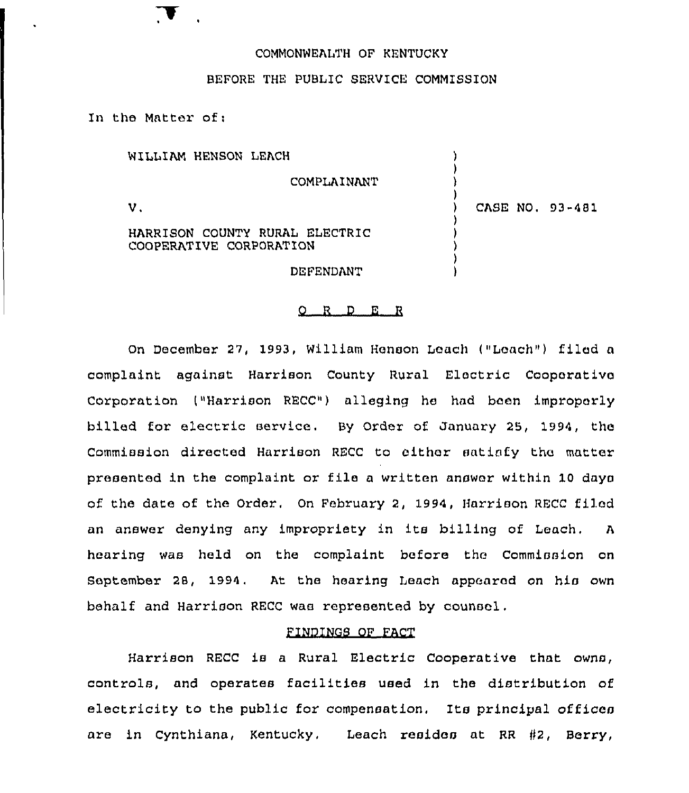# COMMONWEALTH OF KENTUCKY

### BEFORE THE PUBLIC SERVICE COMMISSION

In the Matter of:

| WILLIAM HENSON LEACH                                      |  |                 |
|-----------------------------------------------------------|--|-----------------|
| COMPLAINANT                                               |  |                 |
| ν.                                                        |  | CASE NO. 93-481 |
| HARRISON COUNTY RURAL ELECTRIC<br>COOPERATIVE CORPORATION |  |                 |
| DEFENDANT                                                 |  |                 |

#### 0 <sup>R</sup> <sup>D</sup> <sup>E</sup> <sup>R</sup>

On December 27, 1993, William Henson Leach ("Leach") filed a complaint against Harxison County Rural Electric Coopexativc Corporation l"Harrison RECC") alleging he had been impropexly billed for electric service. By Order of January 25, 1994, the Commission directed Harrison RECC to eithar satisfy the matter presented in the complaint or file <sup>a</sup> written answer within 10 days of the date of the Order. On Februaxy 2, 1994, Harrison RECC filed an answer denying any impropriety in its billing of Leach, <sup>A</sup> hearing was held on the complaint before tho Commission on September 28, 1994, At the hearing Leach appeared on his own behalf and Harrison RECC was represented by counsel.

# FINDINGS OF FACT

Harrison RECC is a Rural Electric Cooperative that owns, controls, and operates facilities Used in the distribution of electricity to the public for compensation. Its principal offices are in Cynthiana, Kentucky. Leach resides at RR #2, Berry,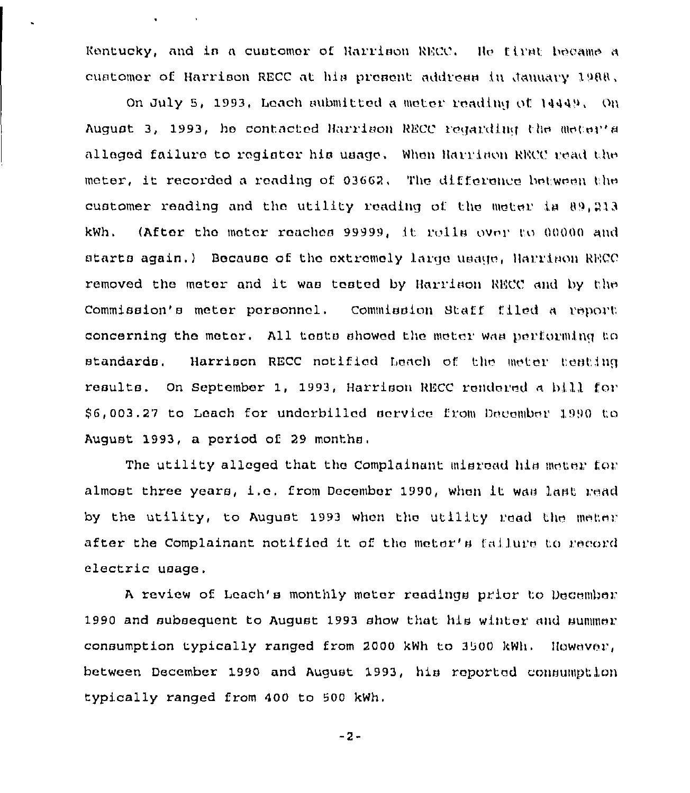Kentucky, and in a customer of Harrison RECC. He first became a customer of Harrison RECC at his present address in January 1988.

 $\bullet$  . The second second  $\bullet$ 

On July 5, 1993, Leach submitted a meter reading of 14449, On August 3, 1993, he contacted Harrison RECC regarding the meter's alleged failure to register his usage. When Harrison RRCC read the meter, it recorded a reading of 03662. The difference between the customer reading and the utility reading of the meter in  $0.213$ kWh. (After the meter reaches 99999, it rolls over to 00000 and starts again.) Because of the extremely large usage. Harrison RECC removed the meter and it was tested by Harrison RECC and by the Commission's meter porsonnel. Commission Staff filed a report concerning the meter. All toots showed the meter was performing to standards. Harrison RECC notified Leach of the meter testing results. On September 1, 1993, Harrison RECC rendered a bill for. \$6,003.27 to Leach for underbilled service from December 1990 to August 1993, a period of 29 months,

The utility alleged that the Complainant misread his meter for almost three years, i.e. from December 1990, when it was last read by the utility, to August 1993 when the utility read the meter after the Complainant notified it of the meter's failure to record electric usage.

<sup>A</sup> review of Leach's monthly meter readings prior I;o December 1990 and subsequent to August 1993 show that his winter and summer consumption typically ranged from 2000 kWh to 3500 kWh. However, between December 1990 and August 1993, his reported consumption typically ranged from 400 to 500 kWh.

 $-2-$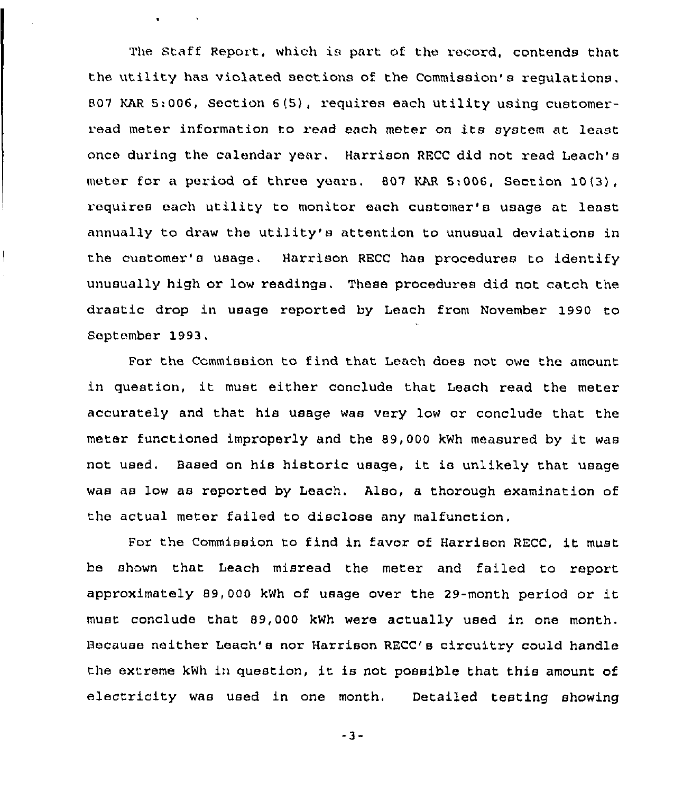The. Staff Report, which is part of the record, contends that the utility has violated sections of the Commission's regulations. 807 KAR 5:006, Section 6(5), requires each utility using customerread meter information to read each meter on its system at least once during the calendar year. Harrison RFCC did not read Leach's meter for a period of three years. 807 HAR 5:006, Section 10 (3), requires each utility to monitor each customer's usage at least annually to draw the utility's attention to unusual deviations in the customer's usage, Harrison RECC has procedures to identify unusually high or low readings. These procedures did not catch the drastic drop in usage reported by Leach from November 1990 to September 1993.

 $\mathbf{u} = (u_1, \ldots, u_n)$  .  $\mathbf{v}_n$ 

 $\overline{\phantom{a}}$ 

For the Commission to find that Leach does not owe the amount in question, it must either conclude that Leach read the meter accurately and that his usage was very low or conclude that the meter functioned improperly and the 89,000 kWh measured by it was not used, Based on his historic usage, it is unlikely that usage was as low as reported by Leach. Also, a thorough examination of the actual meter failed to disclose any malfunction,

For the Commission to find in favor of Harrison RECC, it must be shown that Leach misread the meter and failed to report approximately 89,000 kWh of usage over the 29-month period or it must conclude that 89,000 kWh were actually used in one month. Because neither Leach's nor Harrison RECC's circuitry could handle the extreme kWh in question, it is not possible that this amount of electricity was used in one month. Detailed testing showing

 $-3-$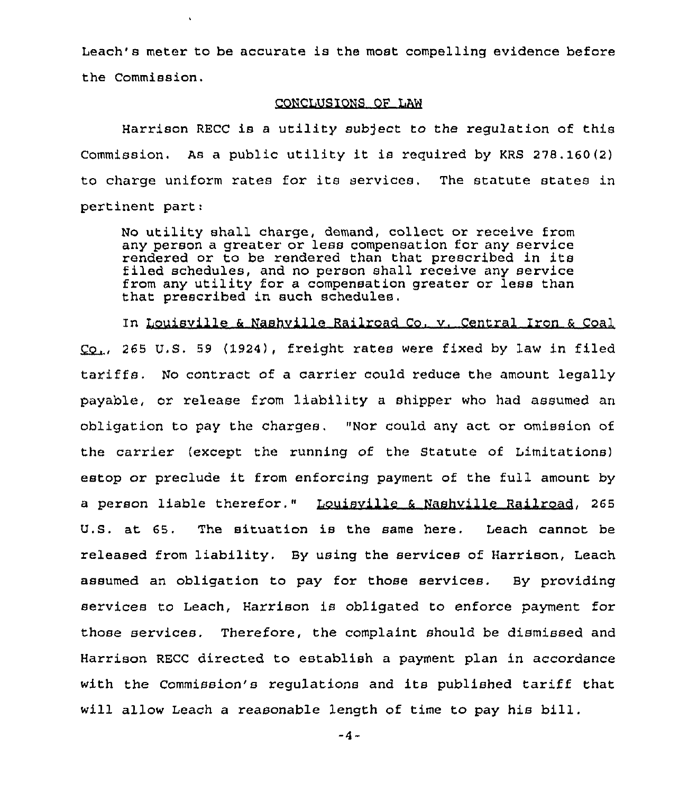Leach's meter to be accurate is the most compelling evidence before the Commission.

### CONCLUSIONS OF LAW

Harrison RECC is <sup>a</sup> utility sub)ect to the regulation of this Commission. As a public utility it is required by KRS 278.160(2) to charge uniform rates for its services, The statute states in pertinent part:

No utility shall charge, demand, collect or receive from any person a greater or less compensation for any service rendered or to be rendered than that prescribed in its filed schedules, and no person shall receive any service from any utility for a compensation greater or less than that prescribed in such schedules,

In Louisville & Nashville Railroad Co, v. Central Iron & Coal 265 U.S. 59 (1924), freight rates were fixed by law in filed tariffs. No contract of a carrier could reduce the amount legally payable, or release from liability a shipper who had assumed an obligation to pay the charges. "Nor could any act or omission of the carrier (except the running of the Statute of Limitations) estop or preclude it from enforcing payment of the full amount by a person liable therefor." Louisville & Nashville Railroad, 265 U.S. at 65. The situation is the same here. Leach cannot be released from liability. By using the services of Harrison, Leach assumed an obligation to pay for those services. By providing services to Leach, Harrison is obligated to enforce payment for those services. Therefore, the complaint should be dismissed and Harrison RECC directed to establish a payment plan in accordance with the Commission's regulations and its published tariff that will allow Leach <sup>a</sup> reasonable length of time to pay his bill.

 $-4-$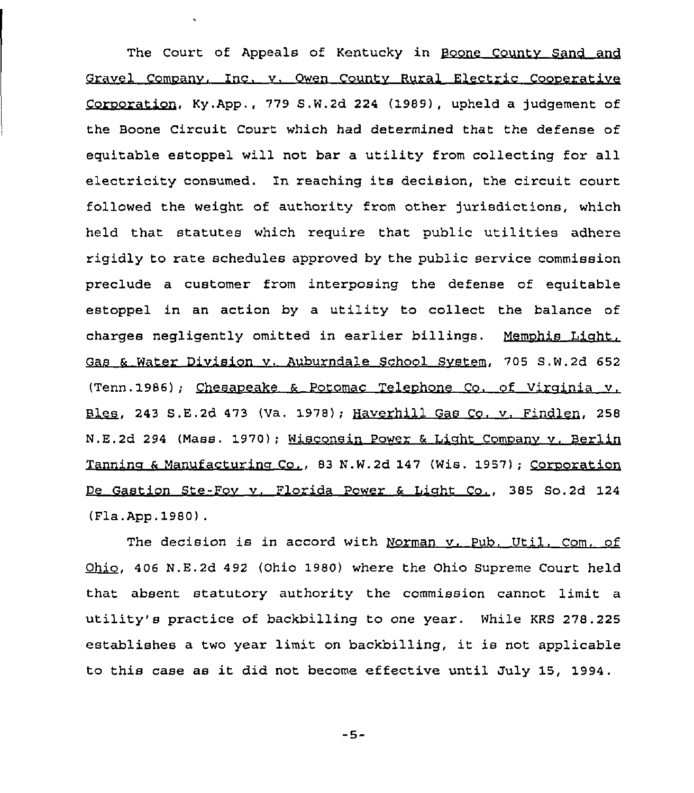The Court of Appeals of Kentucky in Boone County Sand and Gravel Comnanv, Inc. v. Owen Countv Rural Electric Coonerative Cornoration, Ky.App., 779 S,W.2d 224 {1989), upheld a judgement of the Boone Circuit Court which had determined that the defense of equitable estoppel will not bar a utility from collecting for all electricity consumed. Zn reaching its decision, the circuit court followed the weight of authority from other jurisdictions, which held that statutes which require that public utilities adhere rigidly to rate schedules approved by the public service commission preclude a customer from interposing the defense of equitable estoppel in an action by a utility to collect the balance of charges negligently omitted in earlier billings. Memphis Light, Gas 6 Water Division v. Auburndale School Svstem, 705 S.W.2d 652 (Tenn.1986); Chesaneake 6 Potomac Telenhone Co. of Vircinia v. Bles, 243 S.E.2d 473 (Va. 1978); Haverhill Gas Co. v. Findlen, 258 N.E.2d 294 (Mass. 1970); Wisconsin Power & Light Company v. Berlin Tanning & Manufacturing Co., 83 N.W.2d 147 (Wis. 1957); Corporation De Gastion Ste-Fov v. Florida Power & Liaht Co., 385 So.2d 124 (Fla.App.1980).

The decision is in accord with Norman v. Pub. Util. Com. of 406 N.E.2d 492 (Ohio 1980) where the Ohio Supreme Court held that absent statutory authority the commission cannot limit a utility's practice of backbilling to one year. While KRS 278.225 establishes <sup>a</sup> two year limit on backbilling, it is not applicable to this case as it did not become effective until July 15, 1994.

 $-5-$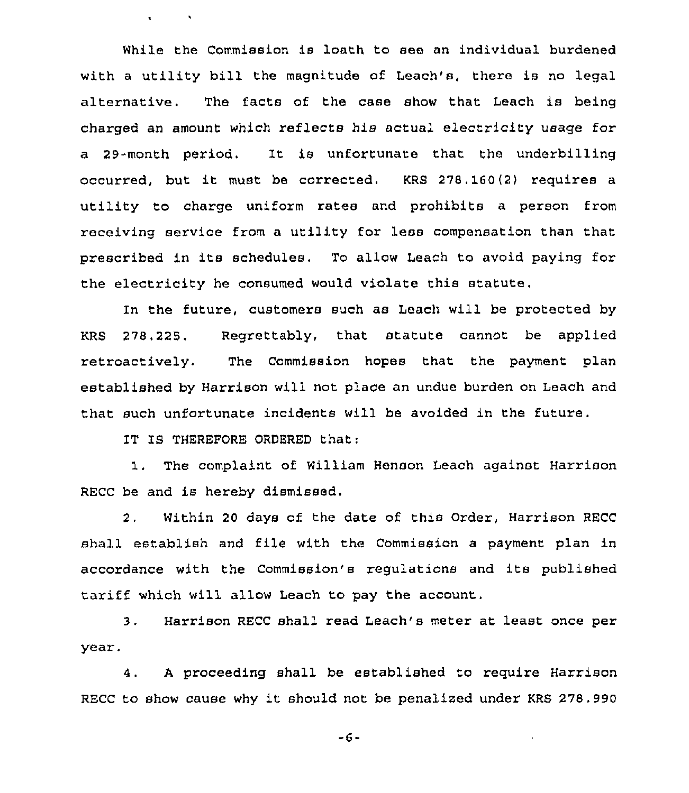While the Commission is loath to see an individual burdened with <sup>a</sup> utility bill the magnitude of Leach's, there is no legal alternative. The facts of the case show that Leach is being charged an amount which reflects his actual electricity usage for a 29-month period, It is unfortunate that the underbilling occurred, but it must be corrected. KRS 278. 160(2) requires <sup>a</sup> utility to charge uniform rates and prohibits <sup>a</sup> person from receiving service from a utility for less compensation than that prescribed in its schedules, To allow Leach to avoid paying for the electricity he consumed would violate this statute.

In the future, customers such as Leach will be protected by KRS 278,228. Regrettably, that statute cannot be applied retroactively. The Commission hopes that the payment plan established by Harrison will not place an undue burden on Leach and that such unfortunate incidents will be avoided in the future.

IT IS THEREFORE ORDERED that:

 $\mathbf{q} = \mathbf{q} \times \mathbf{q}$  .  $\mathbf{q} \times \mathbf{q}$ 

1. The complaint of William Henson Leach against Harrison RECC be and is hereby dismissed.

2, Within 20 days of the date of this Order, Harrison RECC shall establish and file with the Commission a payment plan in accordance with the Commission's regulations and its published tariff which will allow Leach to pay the account..

3. Harrison RECC shall read Leach's meter at least once per year.

4. <sup>A</sup> proceeding shall be established to require Harrison RECC to show cause why it should not be penalized under KRS 278.990

-6-